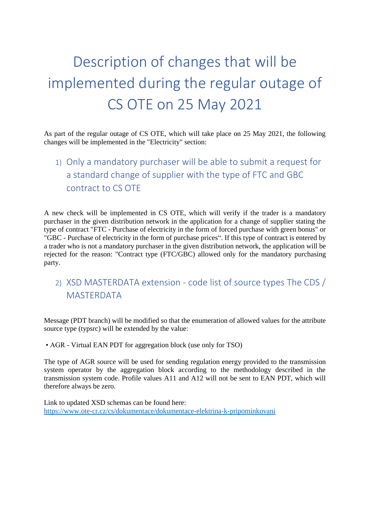## Description of changes that will be implemented during the regular outage of CS OTE on 25 May 2021

As part of the regular outage of CS OTE, which will take place on 25 May 2021, the following changes will be implemented in the "Electricity" section:

1) Only a mandatory purchaser will be able to submit a request for a standard change of supplier with the type of FTC and GBC contract to CS OTE

A new check will be implemented in CS OTE, which will verify if the trader is a mandatory purchaser in the given distribution network in the application for a change of supplier stating the type of contract "FTC - Purchase of electricity in the form of forced purchase with green bonus" or "GBC - Purchase of electricity in the form of purchase prices". If this type of contract is entered by a trader who is not a mandatory purchaser in the given distribution network, the application will be rejected for the reason: "Contract type (FTC/GBC) allowed only for the mandatory purchasing party.

## 2) XSD MASTERDATA extension - code list of source types The CDS / MASTERDATA

Message (PDT branch) will be modified so that the enumeration of allowed values for the attribute source type (typsrc) will be extended by the value:

• AGR - Virtual EAN PDT for aggregation block (use only for TSO)

The type of AGR source will be used for sending regulation energy provided to the transmission system operator by the aggregation block according to the methodology described in the transmission system code. Profile values A11 and A12 will not be sent to EAN PDT, which will therefore always be zero.

Link to updated XSD schemas can be found here: <https://www.ote-cr.cz/cs/dokumentace/dokumentace-elektrina-k-pripominkovani>